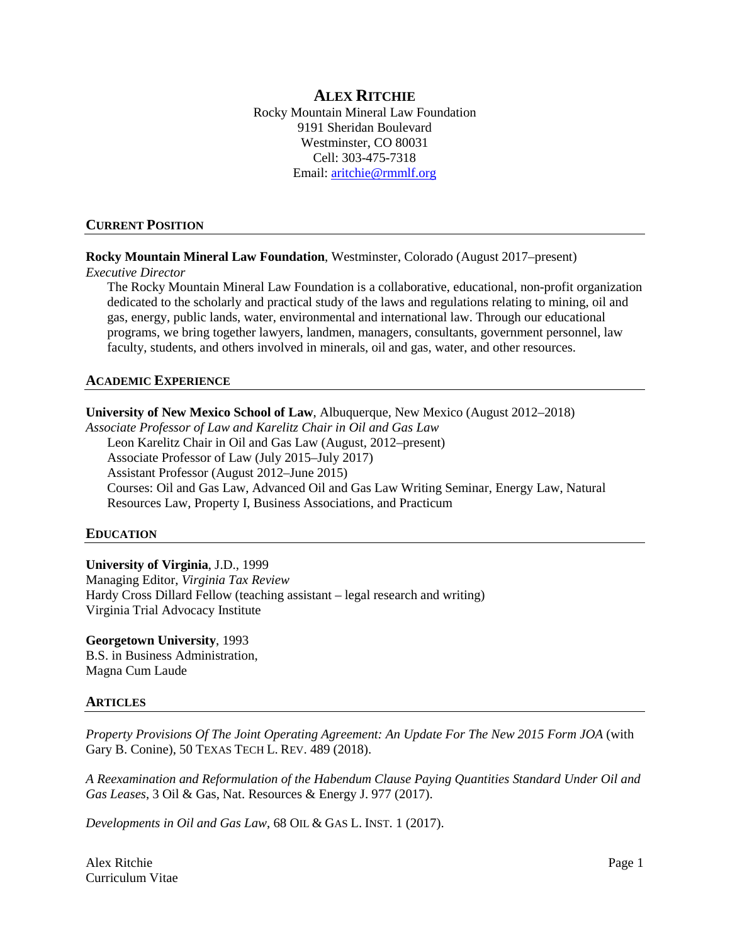# **ALEX RITCHIE**

Rocky Mountain Mineral Law Foundation 9191 Sheridan Boulevard Westminster, CO 80031 Cell: 303-475-7318 Email: [aritchie@rmmlf.org](mailto:aritchie@rmmlf.org)

#### **CURRENT POSITION**

### **Rocky Mountain Mineral Law Foundation**, Westminster, Colorado (August 2017–present)

#### *Executive Director*

The Rocky Mountain Mineral Law Foundation is a collaborative, educational, non-profit organization dedicated to the scholarly and practical study of the laws and regulations relating to mining, oil and gas, energy, public lands, water, environmental and international law. Through our educational programs, we bring together lawyers, landmen, managers, consultants, government personnel, law faculty, students, and others involved in minerals, oil and gas, water, and other resources.

#### **ACADEMIC EXPERIENCE**

### **University of New Mexico School of Law**, Albuquerque, New Mexico (August 2012–2018)

*Associate Professor of Law and Karelitz Chair in Oil and Gas Law* Leon Karelitz Chair in Oil and Gas Law (August, 2012–present) Associate Professor of Law (July 2015–July 2017) Assistant Professor (August 2012–June 2015) Courses: Oil and Gas Law, Advanced Oil and Gas Law Writing Seminar, Energy Law, Natural Resources Law, Property I, Business Associations, and Practicum

#### **EDUCATION**

### **University of Virginia**, J.D., 1999

Managing Editor, *Virginia Tax Review* Hardy Cross Dillard Fellow (teaching assistant – legal research and writing) Virginia Trial Advocacy Institute

#### **Georgetown University**, 1993 B.S. in Business Administration,

Magna Cum Laude

#### **ARTICLES**

*Property Provisions Of The Joint Operating Agreement: An Update For The New 2015 Form JOA* (with Gary B. Conine), 50 TEXAS TECH L. REV. 489 (2018).

*A Reexamination and Reformulation of the Habendum Clause Paying Quantities Standard Under Oil and Gas Leases*, 3 Oil & Gas, Nat. Resources & Energy J. 977 (2017).

*Developments in Oil and Gas Law*, 68 OIL & GAS L. INST. 1 (2017).

Alex Ritchie Page 1 Curriculum Vitae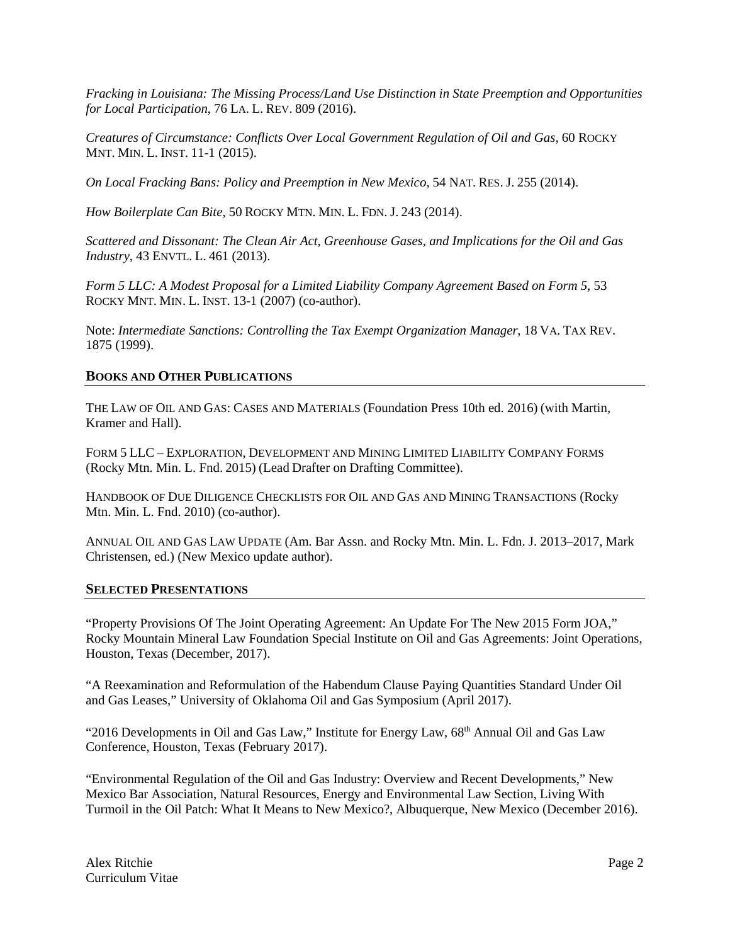*Fracking in Louisiana: The Missing Process/Land Use Distinction in State Preemption and Opportunities for Local Participation*, 76 LA. L. REV. 809 (2016).

*Creatures of Circumstance: Conflicts Over Local Government Regulation of Oil and Gas,* 60 ROCKY MNT. MIN. L. INST. 11-1 (2015).

*On Local Fracking Bans: Policy and Preemption in New Mexico,* 54 NAT. RES. J. 255 (2014).

*How Boilerplate Can Bite*, 50 ROCKY MTN. MIN. L. FDN. J. 243 (2014).

*Scattered and Dissonant: The Clean Air Act, Greenhouse Gases, and Implications for the Oil and Gas Industry*, 43 ENVTL. L. 461 (2013).

*Form 5 LLC: A Modest Proposal for a Limited Liability Company Agreement Based on Form 5*, 53 ROCKY MNT. MIN. L. INST. 13-1 (2007) (co-author).

Note: *Intermediate Sanctions: Controlling the Tax Exempt Organization Manager*, 18 VA. TAX REV. 1875 (1999).

# **BOOKS AND OTHER PUBLICATIONS**

THE LAW OF OIL AND GAS: CASES AND MATERIALS (Foundation Press 10th ed. 2016) (with Martin, Kramer and Hall).

FORM 5 LLC – EXPLORATION, DEVELOPMENT AND MINING LIMITED LIABILITY COMPANY FORMS (Rocky Mtn. Min. L. Fnd. 2015) (Lead Drafter on Drafting Committee).

HANDBOOK OF DUE DILIGENCE CHECKLISTS FOR OIL AND GAS AND MINING TRANSACTIONS (Rocky Mtn. Min. L. Fnd. 2010) (co-author).

ANNUAL OIL AND GAS LAW UPDATE (Am. Bar Assn. and Rocky Mtn. Min. L. Fdn. J. 2013–2017, Mark Christensen, ed.) (New Mexico update author).

### **SELECTED PRESENTATIONS**

"Property Provisions Of The Joint Operating Agreement: An Update For The New 2015 Form JOA," Rocky Mountain Mineral Law Foundation Special Institute on Oil and Gas Agreements: Joint Operations, Houston, Texas (December, 2017).

"A Reexamination and Reformulation of the Habendum Clause Paying Quantities Standard Under Oil and Gas Leases," University of Oklahoma Oil and Gas Symposium (April 2017).

"2016 Developments in Oil and Gas Law," Institute for Energy Law, 68<sup>th</sup> Annual Oil and Gas Law Conference, Houston, Texas (February 2017).

"Environmental Regulation of the Oil and Gas Industry: Overview and Recent Developments," New Mexico Bar Association, Natural Resources, Energy and Environmental Law Section, Living With Turmoil in the Oil Patch: What It Means to New Mexico?, Albuquerque, New Mexico (December 2016).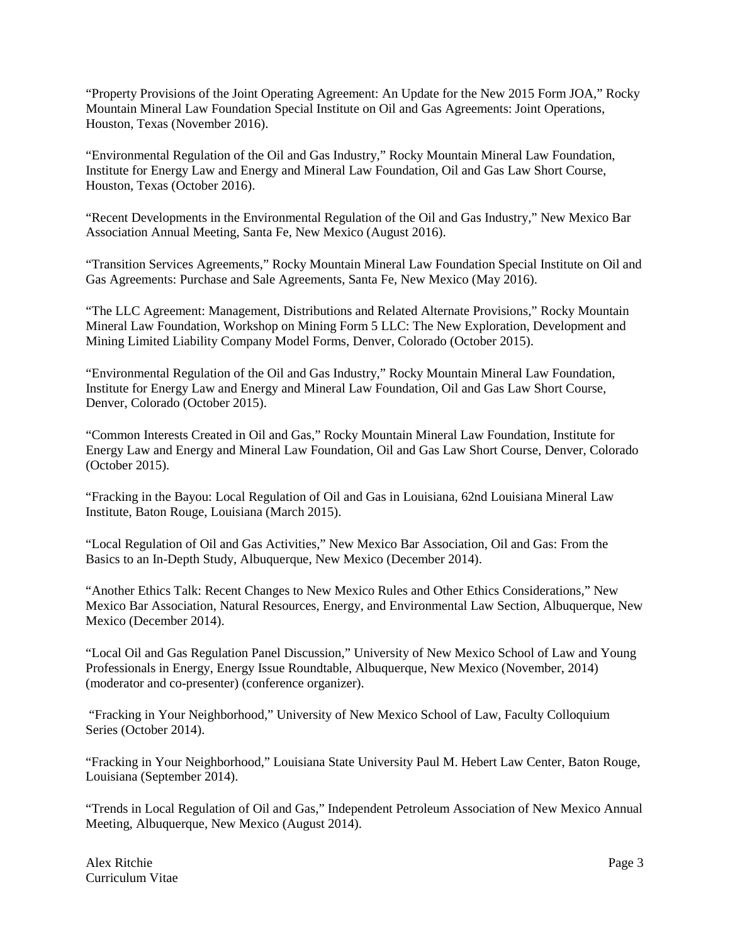"Property Provisions of the Joint Operating Agreement: An Update for the New 2015 Form JOA," Rocky Mountain Mineral Law Foundation Special Institute on Oil and Gas Agreements: Joint Operations, Houston, Texas (November 2016).

"Environmental Regulation of the Oil and Gas Industry," Rocky Mountain Mineral Law Foundation, Institute for Energy Law and Energy and Mineral Law Foundation, Oil and Gas Law Short Course, Houston, Texas (October 2016).

"Recent Developments in the Environmental Regulation of the Oil and Gas Industry," New Mexico Bar Association Annual Meeting, Santa Fe, New Mexico (August 2016).

"Transition Services Agreements," Rocky Mountain Mineral Law Foundation Special Institute on Oil and Gas Agreements: Purchase and Sale Agreements, Santa Fe, New Mexico (May 2016).

"The LLC Agreement: Management, Distributions and Related Alternate Provisions," Rocky Mountain Mineral Law Foundation, Workshop on Mining Form 5 LLC: The New Exploration, Development and Mining Limited Liability Company Model Forms, Denver, Colorado (October 2015).

"Environmental Regulation of the Oil and Gas Industry," Rocky Mountain Mineral Law Foundation, Institute for Energy Law and Energy and Mineral Law Foundation, Oil and Gas Law Short Course, Denver, Colorado (October 2015).

"Common Interests Created in Oil and Gas," Rocky Mountain Mineral Law Foundation, Institute for Energy Law and Energy and Mineral Law Foundation, Oil and Gas Law Short Course, Denver, Colorado (October 2015).

"Fracking in the Bayou: Local Regulation of Oil and Gas in Louisiana, 62nd Louisiana Mineral Law Institute, Baton Rouge, Louisiana (March 2015).

"Local Regulation of Oil and Gas Activities," New Mexico Bar Association, Oil and Gas: From the Basics to an In-Depth Study, Albuquerque, New Mexico (December 2014).

"Another Ethics Talk: Recent Changes to New Mexico Rules and Other Ethics Considerations," New Mexico Bar Association, Natural Resources, Energy, and Environmental Law Section, Albuquerque, New Mexico (December 2014).

"Local Oil and Gas Regulation Panel Discussion," University of New Mexico School of Law and Young Professionals in Energy, Energy Issue Roundtable, Albuquerque, New Mexico (November, 2014) (moderator and co-presenter) (conference organizer).

"Fracking in Your Neighborhood," University of New Mexico School of Law, Faculty Colloquium Series (October 2014).

"Fracking in Your Neighborhood," Louisiana State University Paul M. Hebert Law Center, Baton Rouge, Louisiana (September 2014).

"Trends in Local Regulation of Oil and Gas," Independent Petroleum Association of New Mexico Annual Meeting, Albuquerque, New Mexico (August 2014).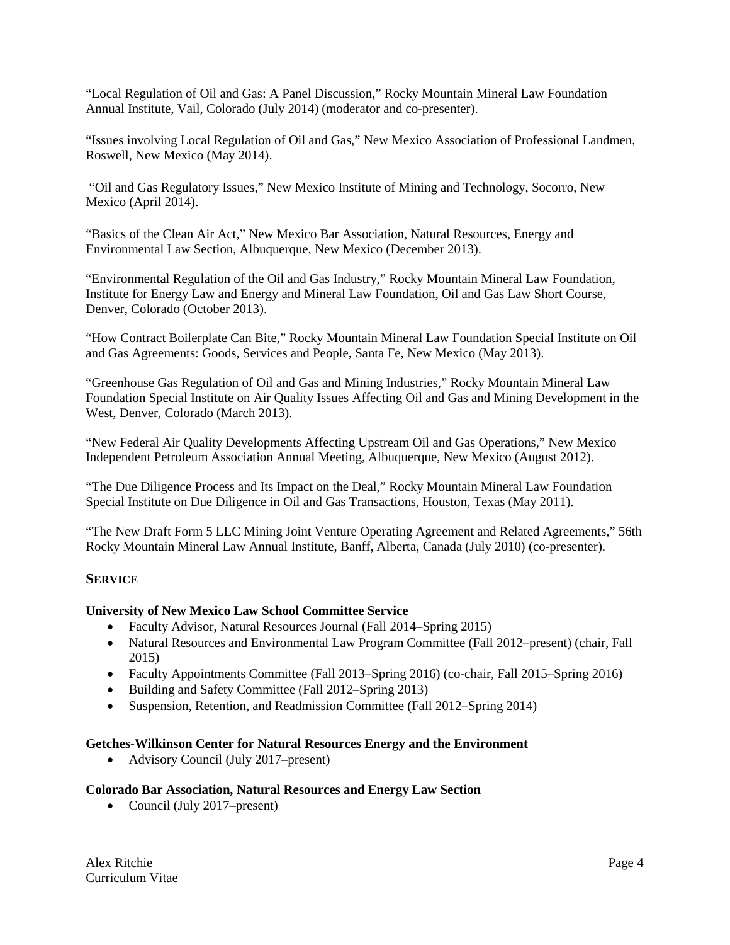"Local Regulation of Oil and Gas: A Panel Discussion," Rocky Mountain Mineral Law Foundation Annual Institute, Vail, Colorado (July 2014) (moderator and co-presenter).

"Issues involving Local Regulation of Oil and Gas," New Mexico Association of Professional Landmen, Roswell, New Mexico (May 2014).

"Oil and Gas Regulatory Issues," New Mexico Institute of Mining and Technology, Socorro, New Mexico (April 2014).

"Basics of the Clean Air Act," New Mexico Bar Association, Natural Resources, Energy and Environmental Law Section, Albuquerque, New Mexico (December 2013).

"Environmental Regulation of the Oil and Gas Industry," Rocky Mountain Mineral Law Foundation, Institute for Energy Law and Energy and Mineral Law Foundation, Oil and Gas Law Short Course, Denver, Colorado (October 2013).

"How Contract Boilerplate Can Bite," Rocky Mountain Mineral Law Foundation Special Institute on Oil and Gas Agreements: Goods, Services and People, Santa Fe, New Mexico (May 2013).

"Greenhouse Gas Regulation of Oil and Gas and Mining Industries," Rocky Mountain Mineral Law Foundation Special Institute on Air Quality Issues Affecting Oil and Gas and Mining Development in the West, Denver, Colorado (March 2013).

"New Federal Air Quality Developments Affecting Upstream Oil and Gas Operations," New Mexico Independent Petroleum Association Annual Meeting, Albuquerque, New Mexico (August 2012).

"The Due Diligence Process and Its Impact on the Deal," Rocky Mountain Mineral Law Foundation Special Institute on Due Diligence in Oil and Gas Transactions, Houston, Texas (May 2011).

"The New Draft Form 5 LLC Mining Joint Venture Operating Agreement and Related Agreements," 56th Rocky Mountain Mineral Law Annual Institute, Banff, Alberta, Canada (July 2010) (co-presenter).

### **SERVICE**

### **University of New Mexico Law School Committee Service**

- Faculty Advisor, Natural Resources Journal (Fall 2014–Spring 2015)
- Natural Resources and Environmental Law Program Committee (Fall 2012–present) (chair, Fall 2015)
- Faculty Appointments Committee (Fall 2013–Spring 2016) (co-chair, Fall 2015–Spring 2016)
- Building and Safety Committee (Fall 2012–Spring 2013)
- Suspension, Retention, and Readmission Committee (Fall 2012–Spring 2014)

### **Getches-Wilkinson Center for Natural Resources Energy and the Environment**

• Advisory Council (July 2017–present)

#### **Colorado Bar Association, Natural Resources and Energy Law Section**

• Council (July 2017–present)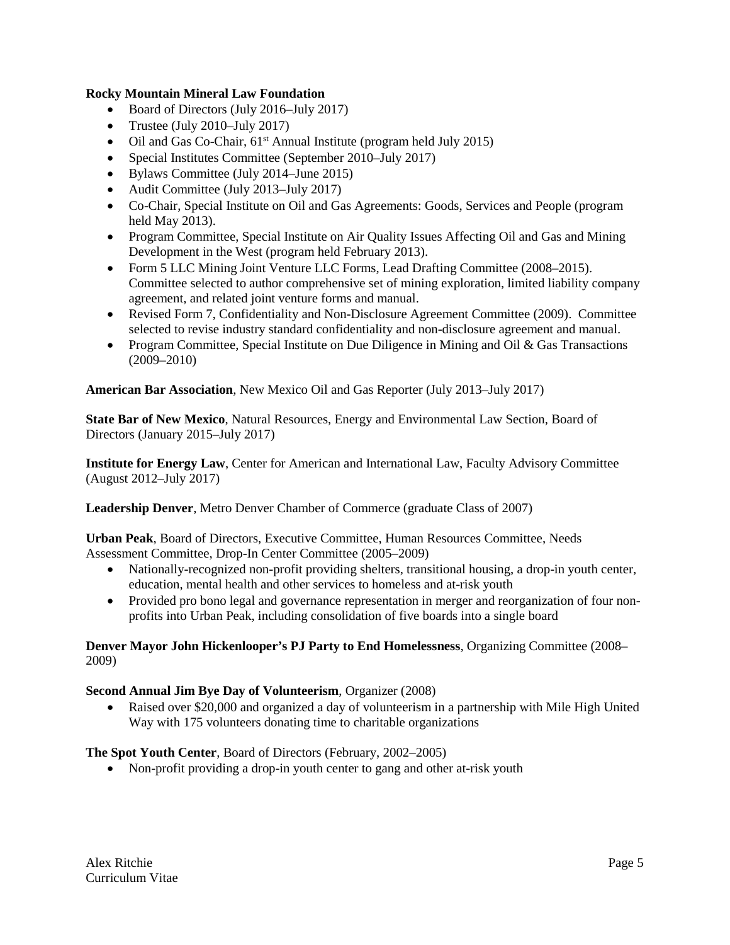# **Rocky Mountain Mineral Law Foundation**

- Board of Directors (July 2016–July 2017)
- Trustee (July 2010–July 2017)
- Oil and Gas Co-Chair,  $61<sup>st</sup>$  Annual Institute (program held July 2015)
- Special Institutes Committee (September 2010–July 2017)
- Bylaws Committee (July 2014–June 2015)
- Audit Committee (July 2013–July 2017)
- Co-Chair, Special Institute on Oil and Gas Agreements: Goods, Services and People (program held May 2013).
- Program Committee, Special Institute on Air Quality Issues Affecting Oil and Gas and Mining Development in the West (program held February 2013).
- Form 5 LLC Mining Joint Venture LLC Forms, Lead Drafting Committee (2008–2015). Committee selected to author comprehensive set of mining exploration, limited liability company agreement, and related joint venture forms and manual.
- Revised Form 7, Confidentiality and Non-Disclosure Agreement Committee (2009). Committee selected to revise industry standard confidentiality and non-disclosure agreement and manual.
- Program Committee, Special Institute on Due Diligence in Mining and Oil & Gas Transactions (2009–2010)

**American Bar Association**, New Mexico Oil and Gas Reporter (July 2013–July 2017)

**State Bar of New Mexico**, Natural Resources, Energy and Environmental Law Section, Board of Directors (January 2015–July 2017)

**Institute for Energy Law**, Center for American and International Law, Faculty Advisory Committee (August 2012–July 2017)

**Leadership Denver**, Metro Denver Chamber of Commerce (graduate Class of 2007)

**Urban Peak**, Board of Directors, Executive Committee, Human Resources Committee, Needs Assessment Committee, Drop-In Center Committee (2005–2009)

- Nationally-recognized non-profit providing shelters, transitional housing, a drop-in youth center, education, mental health and other services to homeless and at-risk youth
- Provided pro bono legal and governance representation in merger and reorganization of four nonprofits into Urban Peak, including consolidation of five boards into a single board

# **Denver Mayor John Hickenlooper's PJ Party to End Homelessness**, Organizing Committee (2008– 2009)

### **Second Annual Jim Bye Day of Volunteerism**, Organizer (2008)

• Raised over \$20,000 and organized a day of volunteerism in a partnership with Mile High United Way with 175 volunteers donating time to charitable organizations

### **The Spot Youth Center**, Board of Directors (February, 2002–2005)

• Non-profit providing a drop-in youth center to gang and other at-risk youth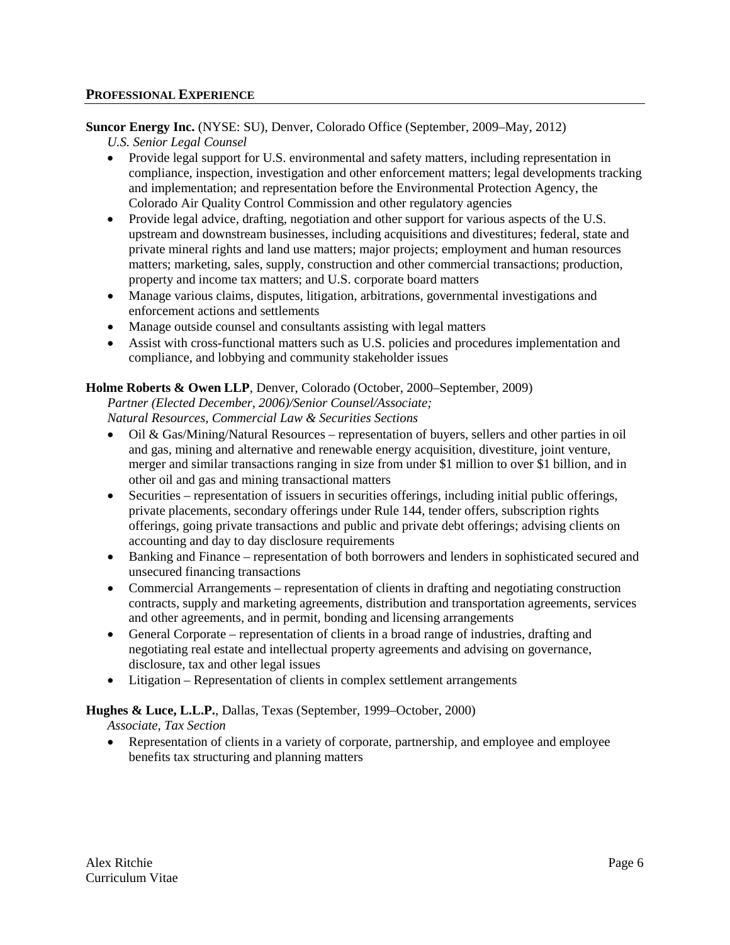### **PROFESSIONAL EXPERIENCE**

**Suncor Energy Inc.** (NYSE: SU), Denver, Colorado Office (September, 2009–May, 2012)

*U.S. Senior Legal Counsel*

- Provide legal support for U.S. environmental and safety matters, including representation in compliance, inspection, investigation and other enforcement matters; legal developments tracking and implementation; and representation before the Environmental Protection Agency, the Colorado Air Quality Control Commission and other regulatory agencies
- Provide legal advice, drafting, negotiation and other support for various aspects of the U.S. upstream and downstream businesses, including acquisitions and divestitures; federal, state and private mineral rights and land use matters; major projects; employment and human resources matters; marketing, sales, supply, construction and other commercial transactions; production, property and income tax matters; and U.S. corporate board matters
- Manage various claims, disputes, litigation, arbitrations, governmental investigations and enforcement actions and settlements
- Manage outside counsel and consultants assisting with legal matters
- Assist with cross-functional matters such as U.S. policies and procedures implementation and compliance, and lobbying and community stakeholder issues

# **Holme Roberts & Owen LLP**, Denver, Colorado (October, 2000–September, 2009)

*Partner (Elected December, 2006)/Senior Counsel/Associate; Natural Resources, Commercial Law & Securities Sections*

- Oil & Gas/Mining/Natural Resources representation of buyers, sellers and other parties in oil and gas, mining and alternative and renewable energy acquisition, divestiture, joint venture, merger and similar transactions ranging in size from under \$1 million to over \$1 billion, and in other oil and gas and mining transactional matters
- Securities representation of issuers in securities offerings, including initial public offerings, private placements, secondary offerings under Rule 144, tender offers, subscription rights offerings, going private transactions and public and private debt offerings; advising clients on accounting and day to day disclosure requirements
- Banking and Finance representation of both borrowers and lenders in sophisticated secured and unsecured financing transactions
- Commercial Arrangements representation of clients in drafting and negotiating construction contracts, supply and marketing agreements, distribution and transportation agreements, services and other agreements, and in permit, bonding and licensing arrangements
- General Corporate representation of clients in a broad range of industries, drafting and negotiating real estate and intellectual property agreements and advising on governance, disclosure, tax and other legal issues
- Litigation Representation of clients in complex settlement arrangements

# **Hughes & Luce, L.L.P.**, Dallas, Texas (September, 1999–October, 2000)

*Associate, Tax Section*

• Representation of clients in a variety of corporate, partnership, and employee and employee benefits tax structuring and planning matters